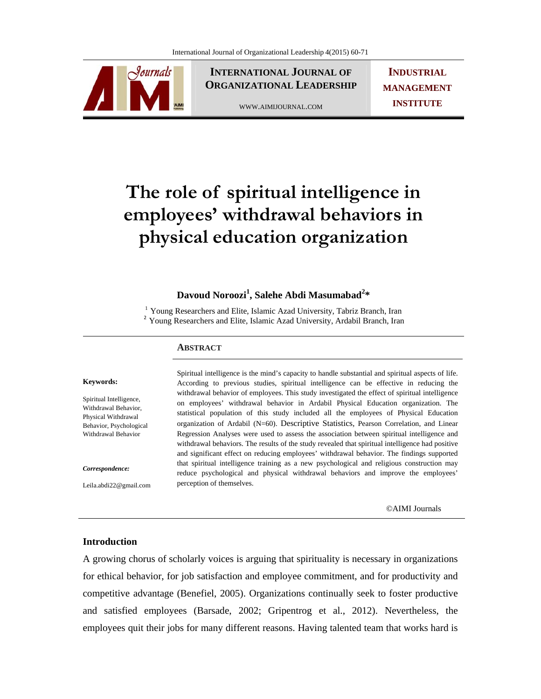

**INTERNATIONAL JOURNAL OF ORGANIZATIONAL LEADERSHIP**

WWW.AIMIJOURNAL.COM

**INDUSTRIAL MANAGEMENT INSTITUTE**

# **The role of spiritual intelligence in employees' withdrawal behaviors in physical education organization**

## **Davoud Noroozi1 , Salehe Abdi Masumabad<sup>2</sup> \***

<sup>1</sup> Young Researchers and Elite, Islamic Azad University, Tabriz Branch, Iran <sup>2</sup> Young Researchers and Elite, Islamic Azad University, Ardabil Branch, Iran

#### **ABSTRACT**

#### **Keywords:**

Spiritual Intelligence, Withdrawal Behavior, Physical Withdrawal Behavior, Psychological Withdrawal Behavior

*Correspondence:* 

Leila.abdi22@gmail.com

Spiritual intelligence is the mind's capacity to handle substantial and spiritual aspects of life. According to previous studies, spiritual intelligence can be effective in reducing the withdrawal behavior of employees. This study investigated the effect of spiritual intelligence on employees' withdrawal behavior in Ardabil Physical Education organization. The statistical population of this study included all the employees of Physical Education organization of Ardabil (N=60). Descriptive Statistics*,* Pearson Correlation, and Linear Regression Analyses were used to assess the association between spiritual intelligence and withdrawal behaviors. The results of the study revealed that spiritual intelligence had positive and significant effect on reducing employees' withdrawal behavior. The findings supported that spiritual intelligence training as a new psychological and religious construction may reduce psychological and physical withdrawal behaviors and improve the employees' perception of themselves.

©AIMI Journals

#### **Introduction**

A growing chorus of scholarly voices is arguing that spirituality is necessary in organizations for ethical behavior, for job satisfaction and employee commitment, and for productivity and competitive advantage (Benefiel, 2005). Organizations continually seek to foster productive and satisfied employees (Barsade, 2002; Gripentrog et al., 2012). Nevertheless, the employees quit their jobs for many different reasons. Having talented team that works hard is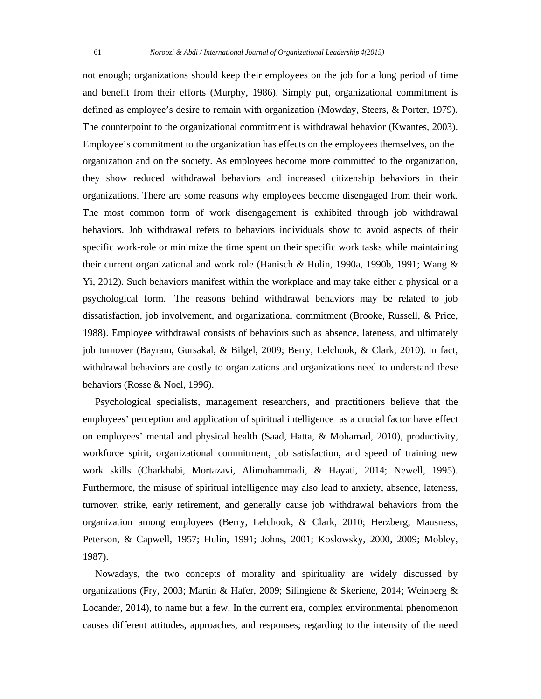not enough; organizations should keep their employees on the job for a long period of time and benefit from their efforts (Murphy, 1986). Simply put, organizational commitment is defined as employee's desire to remain with organization (Mowday, Steers, & Porter, 1979). The counterpoint to the organizational commitment is withdrawal behavior (Kwantes, 2003). Employee's commitment to the organization has effects on the employees themselves, on the organization and on the society. As employees become more committed to the organization, they show reduced withdrawal behaviors and increased citizenship behaviors in their organizations. There are some reasons why employees become disengaged from their work. The most common form of work disengagement is exhibited through job withdrawal behaviors. Job withdrawal refers to behaviors individuals show to avoid aspects of their specific work-role or minimize the time spent on their specific work tasks while maintaining their current organizational and work role (Hanisch & Hulin, 1990a, 1990b, 1991; Wang & Yi, 2012). Such behaviors manifest within the workplace and may take either a physical or a psychological form. The reasons behind withdrawal behaviors may be related to job dissatisfaction, job involvement, and organizational commitment (Brooke, Russell, & Price, 1988). Employee withdrawal consists of behaviors such as absence, lateness, and ultimately job turnover (Bayram, Gursakal, & Bilgel, 2009; Berry, Lelchook, & Clark, 2010). In fact, withdrawal behaviors are costly to organizations and organizations need to understand these behaviors (Rosse & Noel, 1996).

 Psychological specialists, management researchers, and practitioners believe that the employees' perception and application of spiritual intelligence as a crucial factor have effect on employees' mental and physical health (Saad, Hatta, & Mohamad, 2010), productivity, workforce spirit, organizational commitment, job satisfaction, and speed of training new work skills (Charkhabi, Mortazavi, Alimohammadi, & Hayati, 2014; Newell, 1995). Furthermore, the misuse of spiritual intelligence may also lead to anxiety, absence, lateness, turnover, strike, early retirement, and generally cause job withdrawal behaviors from the organization among employees (Berry, Lelchook, & Clark, 2010; Herzberg, Mausness, Peterson, & Capwell, 1957; Hulin, 1991; Johns, 2001; Koslowsky, 2000, 2009; Mobley, 1987).

 Nowadays, the two concepts of morality and spirituality are widely discussed by organizations (Fry, 2003; Martin & Hafer, 2009; Silingiene & Skeriene, 2014; Weinberg & Locander, 2014), to name but a few. In the current era, complex environmental phenomenon causes different attitudes, approaches, and responses; regarding to the intensity of the need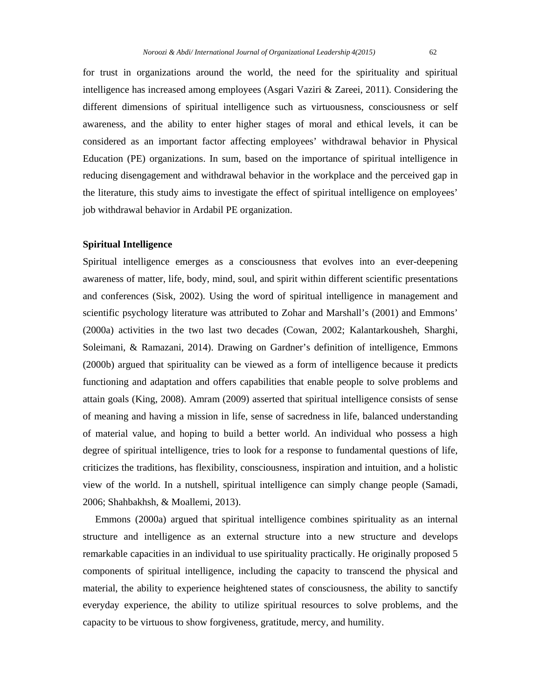for trust in organizations around the world, the need for the spirituality and spiritual intelligence has increased among employees (Asgari Vaziri & Zareei, 2011). Considering the different dimensions of spiritual intelligence such as virtuousness, consciousness or self awareness, and the ability to enter higher stages of moral and ethical levels, it can be considered as an important factor affecting employees' withdrawal behavior in Physical Education (PE) organizations. In sum, based on the importance of spiritual intelligence in reducing disengagement and withdrawal behavior in the workplace and the perceived gap in the literature, this study aims to investigate the effect of spiritual intelligence on employees' job withdrawal behavior in Ardabil PE organization.

### **Spiritual Intelligence**

Spiritual intelligence emerges as a consciousness that evolves into an ever-deepening awareness of matter, life, body, mind, soul, and spirit within different scientific presentations and conferences (Sisk, 2002). Using the word of spiritual intelligence in management and scientific psychology literature was attributed to Zohar and Marshall's (2001) and Emmons' (2000a) activities in the two last two decades (Cowan, 2002; Kalantarkousheh, Sharghi, Soleimani, & Ramazani, 2014). Drawing on Gardner's definition of intelligence, Emmons (2000b) argued that spirituality can be viewed as a form of intelligence because it predicts functioning and adaptation and offers capabilities that enable people to solve problems and attain goals (King, 2008). Amram (2009) asserted that spiritual intelligence consists of sense of meaning and having a mission in life, sense of sacredness in life, balanced understanding of material value, and hoping to build a better world. An individual who possess a high degree of spiritual intelligence, tries to look for a response to fundamental questions of life, criticizes the traditions, has flexibility, consciousness, inspiration and intuition, and a holistic view of the world. In a nutshell, spiritual intelligence can simply change people (Samadi, 2006; Shahbakhsh, & Moallemi, 2013).

 Emmons (2000a) argued that spiritual intelligence combines spirituality as an internal structure and intelligence as an external structure into a new structure and develops remarkable capacities in an individual to use spirituality practically. He originally proposed 5 components of spiritual intelligence, including the capacity to transcend the physical and material, the ability to experience heightened states of consciousness, the ability to sanctify everyday experience, the ability to utilize spiritual resources to solve problems, and the capacity to be virtuous to show forgiveness, gratitude, mercy, and humility.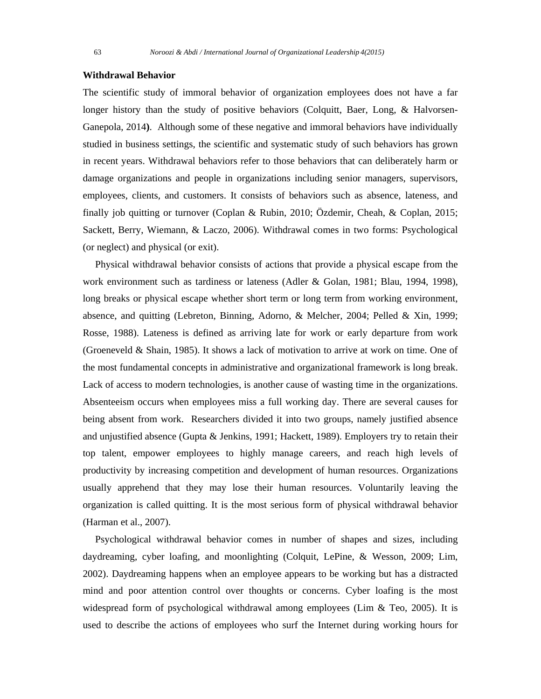#### **Withdrawal Behavior**

The scientific study of immoral behavior of organization employees does not have a far longer history than the study of positive behaviors (Colquitt, Baer, Long, & Halvorsen-Ganepola, 2014**)**. Although some of these negative and immoral behaviors have individually studied in business settings, the scientific and systematic study of such behaviors has grown in recent years. Withdrawal behaviors refer to those behaviors that can deliberately harm or damage organizations and people in organizations including senior managers, supervisors, employees, clients, and customers. It consists of behaviors such as absence, lateness, and finally job quitting or turnover (Coplan & Rubin, 2010; Özdemir, Cheah, & Coplan, 2015; Sackett, Berry, Wiemann, & Laczo, 2006). Withdrawal comes in two forms: Psychological (or neglect) and physical (or exit).

 Physical withdrawal behavior consists of actions that provide a physical escape from the work environment such as tardiness or lateness (Adler & Golan, 1981; Blau, 1994, 1998), long breaks or physical escape whether short term or long term from working environment, absence, and quitting (Lebreton, Binning, Adorno, & Melcher, 2004; Pelled & Xin, 1999; Rosse, 1988). Lateness is defined as arriving late for work or early departure from work (Groeneveld & Shain, 1985). It shows a lack of motivation to arrive at work on time. One of the most fundamental concepts in administrative and organizational framework is long break. Lack of access to modern technologies, is another cause of wasting time in the organizations. Absenteeism occurs when employees miss a full working day. There are several causes for being absent from work. Researchers divided it into two groups, namely justified absence and unjustified absence (Gupta & Jenkins, 1991; Hackett, 1989). Employers try to retain their top talent, empower employees to highly manage careers, and reach high levels of productivity by increasing competition and development of human resources. Organizations usually apprehend that they may lose their human resources. Voluntarily leaving the organization is called quitting. It is the most serious form of physical withdrawal behavior (Harman et al., 2007).

 Psychological withdrawal behavior comes in number of shapes and sizes, including daydreaming, cyber loafing, and moonlighting (Colquit, LePine, & Wesson, 2009; Lim, 2002). Daydreaming happens when an employee appears to be working but has a distracted mind and poor attention control over thoughts or concerns. Cyber loafing is the most widespread form of psychological withdrawal among employees (Lim & Teo, 2005). It is used to describe the actions of employees who surf the Internet during working hours for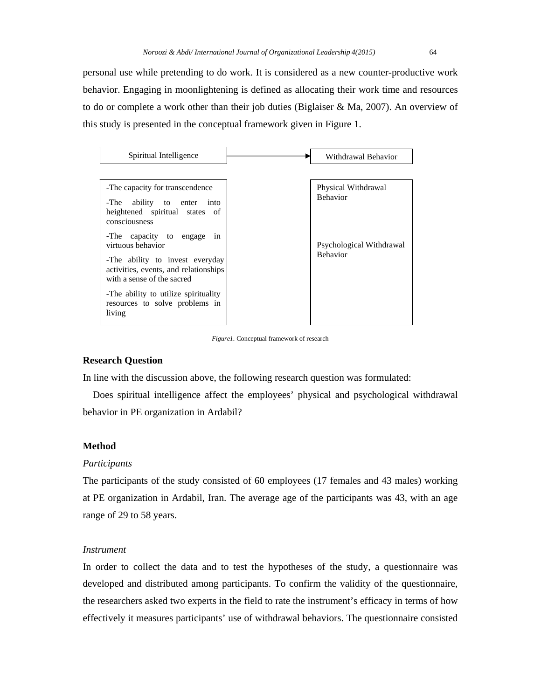personal use while pretending to do work. It is considered as a new counter-productive work behavior. Engaging in moonlightening is defined as allocating their work time and resources to do or complete a work other than their job duties (Biglaiser & Ma, 2007). An overview of this study is presented in the conceptual framework given in Figure 1.



*Figure1.* Conceptual framework of research

#### **Research Question**

In line with the discussion above, the following research question was formulated:

 Does spiritual intelligence affect the employees' physical and psychological withdrawal behavior in PE organization in Ardabil?

## **Method**

#### *Participants*

The participants of the study consisted of 60 employees (17 females and 43 males) working at PE organization in Ardabil, Iran. The average age of the participants was 43, with an age range of 29 to 58 years.

#### *Instrument*

In order to collect the data and to test the hypotheses of the study, a questionnaire was developed and distributed among participants. To confirm the validity of the questionnaire, the researchers asked two experts in the field to rate the instrument's efficacy in terms of how effectively it measures participants' use of withdrawal behaviors. The questionnaire consisted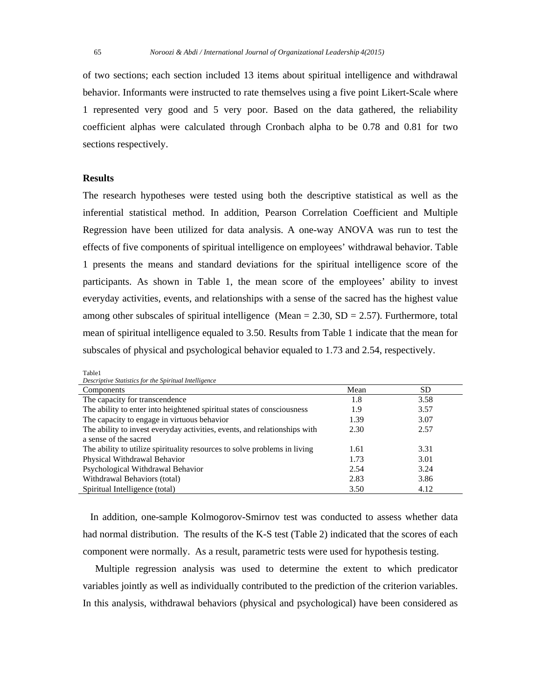of two sections; each section included 13 items about spiritual intelligence and withdrawal behavior. Informants were instructed to rate themselves using a five point Likert-Scale where 1 represented very good and 5 very poor. Based on the data gathered, the reliability coefficient alphas were calculated through Cronbach alpha to be 0.78 and 0.81 for two sections respectively.

#### **Results**

Table1

The research hypotheses were tested using both the descriptive statistical as well as the inferential statistical method. In addition, Pearson Correlation Coefficient and Multiple Regression have been utilized for data analysis. A one-way ANOVA was run to test the effects of five components of spiritual intelligence on employees' withdrawal behavior. Table 1 presents the means and standard deviations for the spiritual intelligence score of the participants. As shown in Table 1, the mean score of the employees' ability to invest everyday activities, events, and relationships with a sense of the sacred has the highest value among other subscales of spiritual intelligence (Mean =  $2.30$ , SD =  $2.57$ ). Furthermore, total mean of spiritual intelligence equaled to 3.50. Results from Table 1 indicate that the mean for subscales of physical and psychological behavior equaled to 1.73 and 2.54, respectively.

| <i>Descriptive Statistics for the Spiritual Intelligence</i>              |      |      |  |  |  |
|---------------------------------------------------------------------------|------|------|--|--|--|
| Components                                                                | Mean | SD   |  |  |  |
| The capacity for transcendence                                            | 1.8  | 3.58 |  |  |  |
| The ability to enter into heightened spiritual states of consciousness    | 1.9  | 3.57 |  |  |  |
| The capacity to engage in virtuous behavior                               | 1.39 | 3.07 |  |  |  |
| The ability to invest everyday activities, events, and relationships with | 2.30 | 2.57 |  |  |  |
| a sense of the sacred                                                     |      |      |  |  |  |
| The ability to utilize spirituality resources to solve problems in living | 1.61 | 3.31 |  |  |  |
| Physical Withdrawal Behavior                                              | 1.73 | 3.01 |  |  |  |
| Psychological Withdrawal Behavior                                         | 2.54 | 3.24 |  |  |  |
| Withdrawal Behaviors (total)                                              | 2.83 | 3.86 |  |  |  |
| Spiritual Intelligence (total)                                            | 3.50 | 4.12 |  |  |  |

*Descriptive Statistics for the Spiritual Intelligence* 

 In addition, one-sample Kolmogorov-Smirnov test was conducted to assess whether data had normal distribution. The results of the K-S test (Table 2) indicated that the scores of each component were normally. As a result, parametric tests were used for hypothesis testing.

 Multiple regression analysis was used to determine the extent to which predicator variables jointly as well as individually contributed to the prediction of the criterion variables. In this analysis, withdrawal behaviors (physical and psychological) have been considered as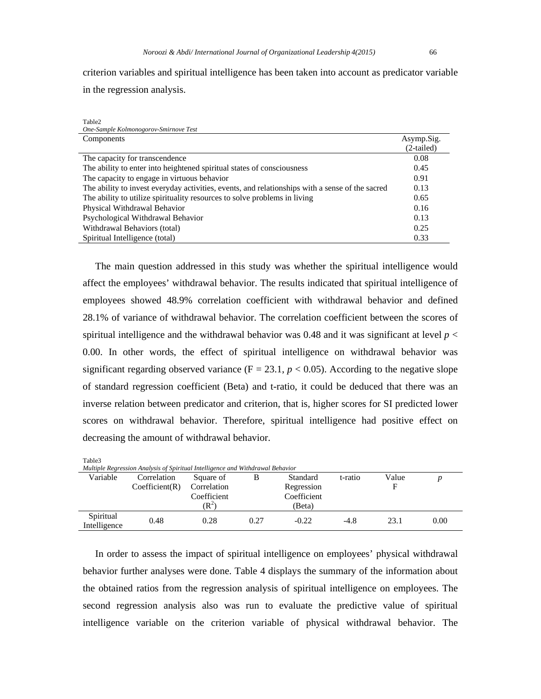Table2

criterion variables and spiritual intelligence has been taken into account as predicator variable in the regression analysis.

| One-Sample Kolmonogorov-Smirnove Test                                                           |              |
|-------------------------------------------------------------------------------------------------|--------------|
| Components                                                                                      | Asymp.Sig.   |
|                                                                                                 | $(2-tailed)$ |
| The capacity for transcendence                                                                  | 0.08         |
| The ability to enter into heightened spiritual states of consciousness                          | 0.45         |
| The capacity to engage in virtuous behavior                                                     | 0.91         |
| The ability to invest everyday activities, events, and relationships with a sense of the sacred | 0.13         |
| The ability to utilize spirituality resources to solve problems in living                       | 0.65         |
| Physical Withdrawal Behavior                                                                    | 0.16         |
| Psychological Withdrawal Behavior                                                               | 0.13         |
| Withdrawal Behaviors (total)                                                                    | 0.25         |
| Spiritual Intelligence (total)                                                                  | 0.33         |

 The main question addressed in this study was whether the spiritual intelligence would affect the employees' withdrawal behavior. The results indicated that spiritual intelligence of employees showed 48.9% correlation coefficient with withdrawal behavior and defined 28.1% of variance of withdrawal behavior. The correlation coefficient between the scores of spiritual intelligence and the withdrawal behavior was 0.48 and it was significant at level *p* < 0.00. In other words, the effect of spiritual intelligence on withdrawal behavior was significant regarding observed variance ( $F = 23.1$ ,  $p < 0.05$ ). According to the negative slope of standard regression coefficient (Beta) and t-ratio, it could be deduced that there was an inverse relation between predicator and criterion, that is, higher scores for SI predicted lower scores on withdrawal behavior. Therefore, spiritual intelligence had positive effect on decreasing the amount of withdrawal behavior.

| Table3                                                                         |                |                |      |             |         |       |      |
|--------------------------------------------------------------------------------|----------------|----------------|------|-------------|---------|-------|------|
| Multiple Regression Analysis of Spiritual Intelligence and Withdrawal Behavior |                |                |      |             |         |       |      |
| Variable                                                                       | Correlation    | Square of      | B    | Standard    | t-ratio | Value |      |
|                                                                                | Coefficient(R) | Correlation    |      | Regression  |         | F     |      |
|                                                                                |                | Coefficient    |      | Coefficient |         |       |      |
|                                                                                |                | $\mathbf{R}^2$ |      | (Beta)      |         |       |      |
| Spiritual<br>Intelligence                                                      | 0.48           | 0.28           | 0.27 | $-0.22$     | $-4.8$  | 23.1  | 0.00 |

 In order to assess the impact of spiritual intelligence on employees' physical withdrawal behavior further analyses were done. Table 4 displays the summary of the information about the obtained ratios from the regression analysis of spiritual intelligence on employees. The second regression analysis also was run to evaluate the predictive value of spiritual intelligence variable on the criterion variable of physical withdrawal behavior. The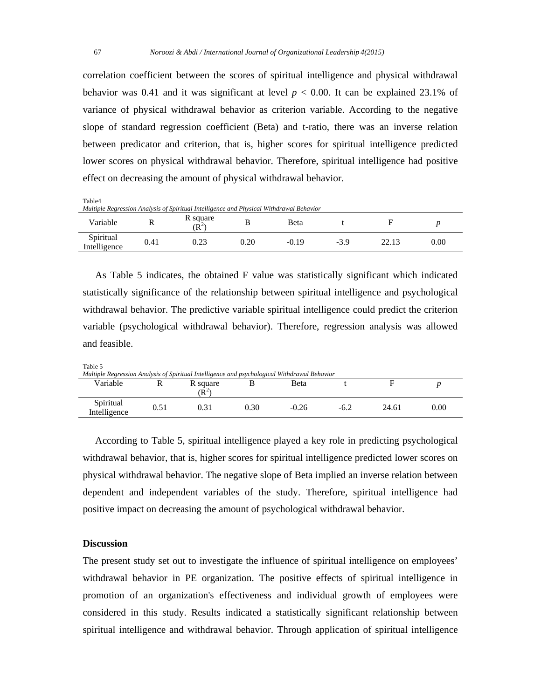correlation coefficient between the scores of spiritual intelligence and physical withdrawal behavior was 0.41 and it was significant at level  $p < 0.00$ . It can be explained 23.1% of variance of physical withdrawal behavior as criterion variable. According to the negative slope of standard regression coefficient (Beta) and t-ratio, there was an inverse relation between predicator and criterion, that is, higher scores for spiritual intelligence predicted lower scores on physical withdrawal behavior. Therefore, spiritual intelligence had positive effect on decreasing the amount of physical withdrawal behavior.

Table4 *Multiple Regression Analysis of Spiritual Intelligence and Physical Withdrawal Behavior*  Variable R R square  $(R<sup>2</sup>)$ ) B Beta t F *<sup>p</sup>* Spiritual Intelligence 0.41 0.23 0.20 -0.19 -3.9 22.13 0.00

 As Table 5 indicates, the obtained F value was statistically significant which indicated statistically significance of the relationship between spiritual intelligence and psychological withdrawal behavior. The predictive variable spiritual intelligence could predict the criterion variable (psychological withdrawal behavior). Therefore, regression analysis was allowed and feasible.

Table 5

| Multiple Regression Analysis of Spiritual Intelligence and psychological Withdrawal Behavior |      |                       |                   |         |      |       |      |
|----------------------------------------------------------------------------------------------|------|-----------------------|-------------------|---------|------|-------|------|
| Variable                                                                                     |      | R square<br>$\rm R^2$ |                   | Beta    |      |       |      |
| Spiritual<br>Intelligence                                                                    | 0.51 | 0.31                  | 0.30 <sub>1</sub> | $-0.26$ | -6.2 | 24.61 | 0.00 |

 According to Table 5, spiritual intelligence played a key role in predicting psychological withdrawal behavior, that is, higher scores for spiritual intelligence predicted lower scores on physical withdrawal behavior. The negative slope of Beta implied an inverse relation between dependent and independent variables of the study. Therefore, spiritual intelligence had positive impact on decreasing the amount of psychological withdrawal behavior.

## **Discussion**

The present study set out to investigate the influence of spiritual intelligence on employees' withdrawal behavior in PE organization. The positive effects of spiritual intelligence in promotion of an organization's effectiveness and individual growth of employees were considered in this study. Results indicated a statistically significant relationship between spiritual intelligence and withdrawal behavior. Through application of spiritual intelligence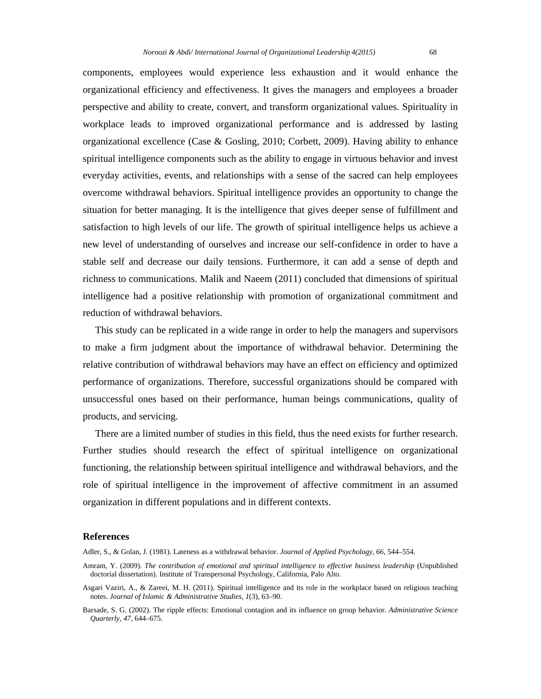components, employees would experience less exhaustion and it would enhance the organizational efficiency and effectiveness. It gives the managers and employees a broader perspective and ability to create, convert, and transform organizational values. Spirituality in workplace leads to improved organizational performance and is addressed by lasting organizational excellence (Case & Gosling, 2010; Corbett, 2009). Having ability to enhance spiritual intelligence components such as the ability to engage in virtuous behavior and invest everyday activities, events, and relationships with a sense of the sacred can help employees overcome withdrawal behaviors. Spiritual intelligence provides an opportunity to change the situation for better managing. It is the intelligence that gives deeper sense of fulfillment and satisfaction to high levels of our life. The growth of spiritual intelligence helps us achieve a new level of understanding of ourselves and increase our self-confidence in order to have a stable self and decrease our daily tensions. Furthermore, it can add a sense of depth and richness to communications. Malik and Naeem (2011) concluded that dimensions of spiritual intelligence had a positive relationship with promotion of organizational commitment and reduction of withdrawal behaviors.

 This study can be replicated in a wide range in order to help the managers and supervisors to make a firm judgment about the importance of withdrawal behavior. Determining the relative contribution of withdrawal behaviors may have an effect on efficiency and optimized performance of organizations. Therefore, successful organizations should be compared with unsuccessful ones based on their performance, human beings communications, quality of products, and servicing.

 There are a limited number of studies in this field, thus the need exists for further research. Further studies should research the effect of spiritual intelligence on organizational functioning, the relationship between spiritual intelligence and withdrawal behaviors, and the role of spiritual intelligence in the improvement of affective commitment in an assumed organization in different populations and in different contexts.

#### **References**

Adler, S., & Golan, J. (1981). Lateness as a withdrawal behavior*. Journal of Applied Psychology, 66,* 544–554.

- Amram, Y. (2009). *The contribution of emotional and spiritual intelligence to effective business leadership* (Unpublished doctorial dissertation). Institute of Transpersonal Psychology, California, Palo Alto.
- Asgari Vaziri, A., & Zareei, M. H. (2011). Spiritual intelligence and its role in the workplace based on religious teaching notes. *Journal of Islamic & Administrative Studies, 1*(3), 63–90.
- Barsade, S. G. (2002). The ripple effects: Emotional contagion and its influence on group behavior. *Administrative Science Quarterly*, *47*, 644–675.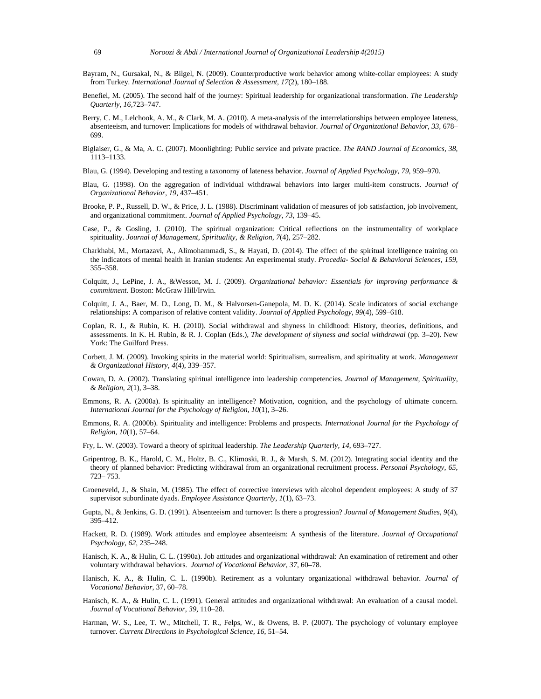- Bayram, N., Gursakal, N., & Bilgel, N. (2009). Counterproductive work behavior among white-collar employees: A study from Turkey*. International Journal of Selection & Assessment, 17*(2), 180–188.
- Benefiel, M. (2005). The second half of the journey: Spiritual leadership for organizational transformation. *The Leadership Quarterly, 16,*723–747.
- Berry, C. M., Lelchook, A. M., & Clark, M. A. (2010). A meta-analysis of the interrelationships between employee lateness, absenteeism, and turnover: Implications for models of withdrawal behavior. *Journal of Organizational Behavior, 33,* 678– 699.
- Biglaiser, G., & Ma, A. C. (2007). Moonlighting: Public service and private practice. *The RAND Journal of Economics, 38*, 1113–1133.
- Blau, G. (1994). Developing and testing a taxonomy of lateness behavior. *Journal of Applied Psychology, 79*, 959–970.
- Blau, G. (1998). On the aggregation of individual withdrawal behaviors into larger multi-item constructs. *Journal of Organizational Behavior, 19*, 437–451.
- Brooke, P. P., Russell, D. W., & Price, J. L. (1988). Discriminant validation of measures of job satisfaction, job involvement, and organizational commitment. *Journal of Applied Psychology, 73*, 139–45.
- Case, P., & Gosling, J. (2010). The spiritual organization: Critical reflections on the instrumentality of workplace spirituality. *Journal of Management, Spirituality, & Religion, 7*(4), 257–282.
- Charkhabi, M., Mortazavi, A., Alimohammadi, S., & Hayati, D. (2014). The effect of the spiritual intelligence training on the indicators of mental health in Iranian students: An experimental study. *Procedia- Social & Behavioral Sciences, 159*, 355–358.
- Colquitt, J., LePine, J. A., &Wesson, M. J. (2009). *Organizational behavior: Essentials for improving performance & commitment.* Boston: McGraw Hill/Irwin.
- Colquitt, J. A., Baer, M. D., Long, D. M., & Halvorsen-Ganepola, M. D. K. (2014). Scale indicators of social exchange relationships: A comparison of relative content validity. *Journal of Applied Psychology*, *99*(4)*,* 599–618.
- Coplan, R. J., & Rubin, K. H. (2010). Social withdrawal and shyness in childhood: History, theories, definitions, and assessments. In K. H. Rubin, & R. J. Coplan (Eds.), *The development of shyness and social withdrawal* (pp. 3-20). New York: The Guilford Press.
- Corbett, J. M. (2009). Invoking spirits in the material world: Spiritualism, surrealism, and spirituality at work. *Management & Organizational History, 4*(4), 339–357.
- Cowan, D. A. (2002). Translating spiritual intelligence into leadership competencies. *Journal of Management, Spirituality, & Religion, 2*(1), 3–38.
- Emmons, R. A. (2000a). Is spirituality an intelligence? Motivation, cognition, and the psychology of ultimate concern. *International Journal for the Psychology of Religion, 10*(1), 3–26.
- Emmons, R. A. (2000b). Spirituality and intelligence: Problems and prospects. *International Journal for the Psychology of Religion, 10*(1), 57–64.
- Fry, L. W. (2003). Toward a theory of spiritual leadership. *The Leadership Quarterly, 14*, 693–727.
- Gripentrog, B. K., Harold, C. M., Holtz, B. C., Klimoski, R. J., & Marsh, S. M. (2012). Integrating social identity and the theory of planned behavior: Predicting withdrawal from an organizational recruitment process. *Personal Psychology, 65*, 723– 753.
- Groeneveld, J., & Shain, M. (1985). The effect of corrective interviews with alcohol dependent employees: A study of 37 supervisor subordinate dyads. *Employee Assistance Quarterly, 1*(1), 63–73.
- Gupta, N., & Jenkins, G. D. (1991). Absenteeism and turnover: Is there a progression? *Journal of Management Studies, 9*(4), 395–412.
- Hackett, R. D. (1989). Work attitudes and employee absenteeism: A synthesis of the literature. *Journal of Occupational Psychology, 62,* 235–248.
- Hanisch, K. A., & Hulin, C. L. (1990a). Job attitudes and organizational withdrawal: An examination of retirement and other voluntary withdrawal behaviors. *Journal of Vocational Behavior, 37*, 60–78.
- Hanisch, K. A., & Hulin, C. L. (1990b). Retirement as a voluntary organizational withdrawal behavior. *Journal of Vocational Behavior,* 37, 60–78.
- Hanisch, K. A., & Hulin, C. L. (1991). General attitudes and organizational withdrawal: An evaluation of a causal model. *Journal of Vocational Behavior, 39*, 110–28.
- Harman, W. S., Lee, T. W., Mitchell, T. R., Felps, W., & Owens, B. P. (2007). The psychology of voluntary employee turnover. *Current Directions in Psychological Science, 16*, 51–54.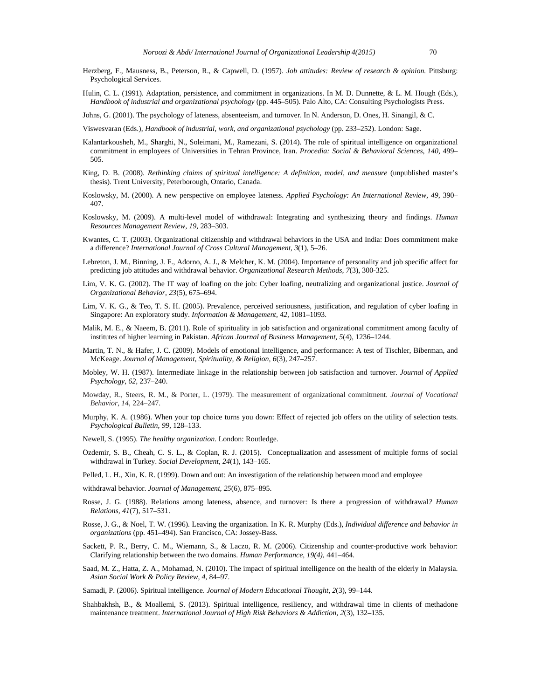- Herzberg, F., Mausness, B., Peterson, R., & Capwell, D. (1957). *Job attitudes: Review of research & opinion*. Pittsburg: Psychological Services.
- Hulin, C. L. (1991). Adaptation, persistence, and commitment in organizations. In M. D. Dunnette, & L. M. Hough (Eds.), *Handbook of industrial and organizational psychology* (pp. 445–505). Palo Alto, CA: Consulting Psychologists Press.

Johns, G. (2001). The psychology of lateness, absenteeism, and turnover. In N. Anderson, D. Ones, H. Sinangil, & C.

Viswesvaran (Eds.), *Handbook of industrial, work, and organizational psychology* (pp. 233–252). London: Sage.

- Kalantarkousheh, M., Sharghi, N., Soleimani, M., Ramezani, S. (2014). The role of spiritual intelligence on organizational commitment in employees of Universities in Tehran Province, Iran. *Procedia: Social & Behavioral Sciences, 140*, 499– 505.
- King, D. B. (2008). *Rethinking claims of spiritual intelligence: A definition, model, and measure* (unpublished master's thesis). Trent University, Peterborough, Ontario, Canada.
- Koslowsky, M. (2000). A new perspective on employee lateness. *Applied Psychology: An International Review, 49*, 390– 407.
- Koslowsky, M. (2009). A multi-level model of withdrawal: Integrating and synthesizing theory and findings. *Human Resources Management Review, 19,* 283–303.
- Kwantes, C. T. (2003). Organizational citizenship and withdrawal behaviors in the USA and India: Does commitment make a difference? *International Journal of Cross Cultural Management, 3*(1), 5–26.
- Lebreton, J. M., Binning, J. F., Adorno, A. J., & Melcher, K. M. (2004). Importance of personality and job specific affect for predicting job attitudes and withdrawal behavior. *Organizational Research Methods, 7*(3), 300-325.
- Lim, V. K. G. (2002). The IT way of loafing on the job: Cyber loafing, neutralizing and organizational justice. *Journal of Organizational Behavior*, *23*(5), 675–694.
- Lim, V. K. G., & Teo, T. S. H. (2005). Prevalence, perceived seriousness, justification, and regulation of cyber loafing in Singapore: An exploratory study. *Information & Management, 42*, 1081–1093.
- Malik, M. E., & Naeem, B. (2011). Role of spirituality in job satisfaction and organizational commitment among faculty of institutes of higher learning in Pakistan. *African Journal of Business Management, 5*(4), 1236–1244.
- Martin, T. N., & Hafer, J. C. (2009). Models of emotional intelligence, and performance: A test of Tischler, Biberman, and McKeage. *Journal of Management, Spirituality, & Religion, 6*(3), 247–257.
- Mobley, W. H. (1987). Intermediate linkage in the relationship between job satisfaction and turnover. *Journal of Applied Psychology, 62,* 237–240.
- Mowday, R., Steers, R. M., & Porter, L. (1979). The measurement of organizational commitment. *Journal of Vocational Behavior, 14,* 224–247.
- Murphy, K. A. (1986). When your top choice turns you down: Effect of rejected job offers on the utility of selection tests. *Psychological Bulletin*, *99*, 128–133.
- Newell, S. (1995). *The healthy organization*. London: Routledge.
- Özdemir, S. B., Cheah, C. S. L., & Coplan, R. J. (2015). Conceptualization and assessment of multiple forms of social withdrawal in Turkey. *Social Development, 24*(1), 143–165.
- Pelled, L. H., Xin, K. R. (1999). Down and out: An investigation of the relationship between mood and employee
- withdrawal behavior. *Journal of Management, 25*(6), 875–895.
- Rosse, J. G. (1988). Relations among lateness*,* absence*,* and turnover*:* Is there a progression of withdrawal*? Human Relations, 41*(7), 517–531.
- Rosse, J. G., & Noel, T. W. (1996). Leaving the organization. In K. R. Murphy (Eds.), *Individual difference and behavior in organizations* (pp. 451–494). San Francisco, CA: Jossey-Bass.
- Sackett, P. R., Berry, C. M., Wiemann, S., & Laczo, R. M. (2006). Citizenship and counter-productive work behavior: Clarifying relationship between the two domains. *Human Performance, 19(4),* 441–464.
- Saad, M. Z., Hatta, Z. A., Mohamad, N. (2010). The impact of spiritual intelligence on the health of the elderly in Malaysia. *Asian Social Work & Policy Review, 4*, 84–97.
- Samadi, P. (2006). Spiritual intelligence. *Journal of Modern Educational Thought, 2*(3), 99–144.
- Shahbakhsh, B., & Moallemi, S. (2013). Spiritual intelligence, resiliency, and withdrawal time in clients of methadone maintenance treatment. *International Journal of High Risk Behaviors & Addiction, 2*(3), 132–135.